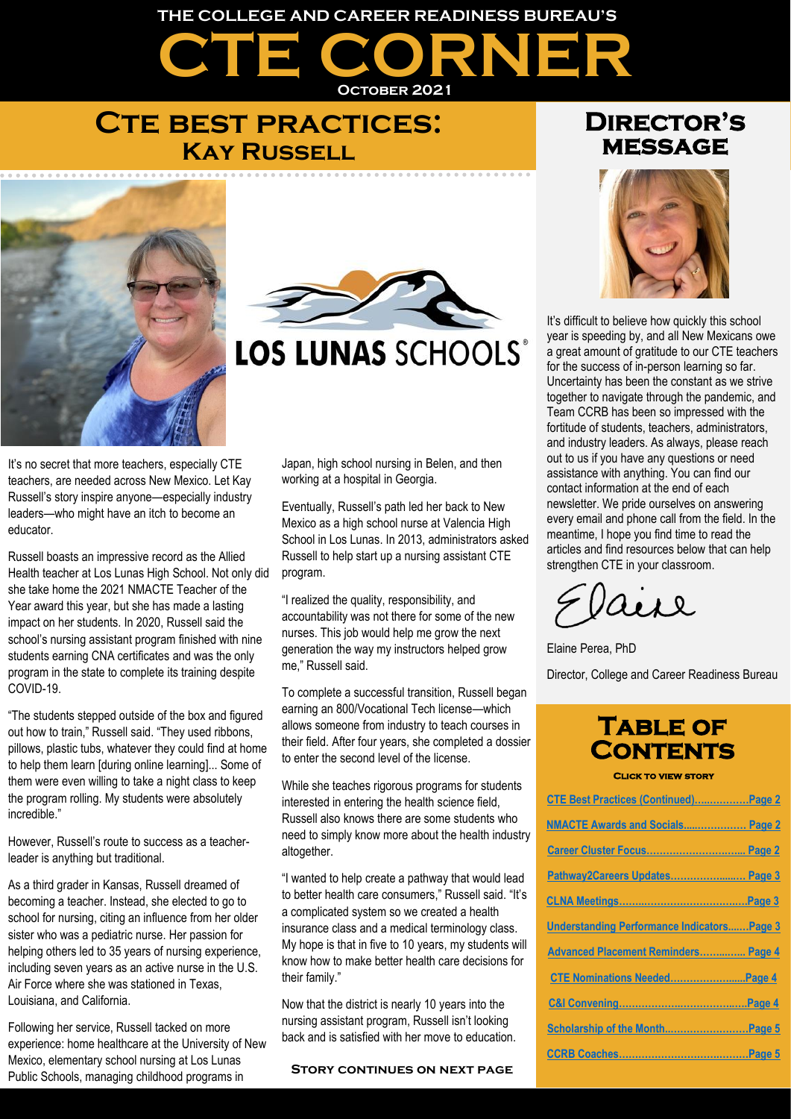# **CTE CORNER THE COLLEGE AND CAREER READINESS BUREAU'S October 2021**

### **Cte best practices: Kay Russell**





## LOS LUNAS SCHOOLS®

It's no secret that more teachers, especially CTE teachers, are needed across New Mexico. Let Kay Russell's story inspire anyone—especially industry leaders—who might have an itch to become an educator.

Russell boasts an impressive record as the Allied Health teacher at Los Lunas High School. Not only did she take home the 2021 NMACTE Teacher of the Year award this year, but she has made a lasting impact on her students. In 2020, Russell said the school's nursing assistant program finished with nine students earning CNA certificates and was the only program in the state to complete its training despite COVID-19.

"The students stepped outside of the box and figured out how to train," Russell said. "They used ribbons, pillows, plastic tubs, whatever they could find at home to help them learn [during online learning]... Some of them were even willing to take a night class to keep the program rolling. My students were absolutely incredible."

However, Russell's route to success as a teacherleader is anything but traditional.

As a third grader in Kansas, Russell dreamed of becoming a teacher. Instead, she elected to go to school for nursing, citing an influence from her older sister who was a pediatric nurse. Her passion for helping others led to 35 years of nursing experience, including seven years as an active nurse in the U.S. Air Force where she was stationed in Texas, Louisiana, and California.

Following her service, Russell tacked on more experience: home healthcare at the University of New Mexico, elementary school nursing at Los Lunas Public Schools, managing childhood programs in

Japan, high school nursing in Belen, and then working at a hospital in Georgia.

Eventually, Russell's path led her back to New Mexico as a high school nurse at Valencia High School in Los Lunas. In 2013, administrators asked Russell to help start up a nursing assistant CTE program.

"I realized the quality, responsibility, and accountability was not there for some of the new nurses. This job would help me grow the next generation the way my instructors helped grow me," Russell said.

To complete a successful transition, Russell began earning an 800/Vocational Tech license—which allows someone from industry to teach courses in their field. After four years, she completed a dossier to enter the second level of the license.

While she teaches rigorous programs for students interested in entering the health science field, Russell also knows there are some students who need to simply know more about the health industry altogether.

"I wanted to help create a pathway that would lead to better health care consumers," Russell said. "It's a complicated system so we created a health insurance class and a medical terminology class. My hope is that in five to 10 years, my students will know how to make better health care decisions for their family."

Now that the district is nearly 10 years into the nursing assistant program, Russell isn't looking back and is satisfied with her move to education.

### **Director's message**



It's difficult to believe how quickly this school year is speeding by, and all New Mexicans owe a great amount of gratitude to our CTE teachers for the success of in-person learning so far. Uncertainty has been the constant as we strive together to navigate through the pandemic, and Team CCRB has been so impressed with the fortitude of students, teachers, administrators, and industry leaders. As always, please reach out to us if you have any questions or need assistance with anything. You can find our contact information at the end of each newsletter. We pride ourselves on answering every email and phone call from the field. In the meantime, I hope you find time to read the articles and find resources below that can help strengthen CTE in your classroom.

Lesl

Elaine Perea, PhD

Director, College and Career Readiness Bureau

### **Table of Contents**

**Click to view story** 

| CTE Best Practices (Continued)Page 2              |  |
|---------------------------------------------------|--|
| <b>NMACTE Awards and Socials Page 2</b>           |  |
| Career Cluster Focus Page 2                       |  |
| Pathway2Careers Updates Page 3                    |  |
|                                                   |  |
| <b>Understanding Performance IndicatorsPage 3</b> |  |
| Advanced Placement Reminders Page 4               |  |
| CTE Nominations Needed Page 4                     |  |
|                                                   |  |
| Scholarship of the Month Page 5                   |  |
|                                                   |  |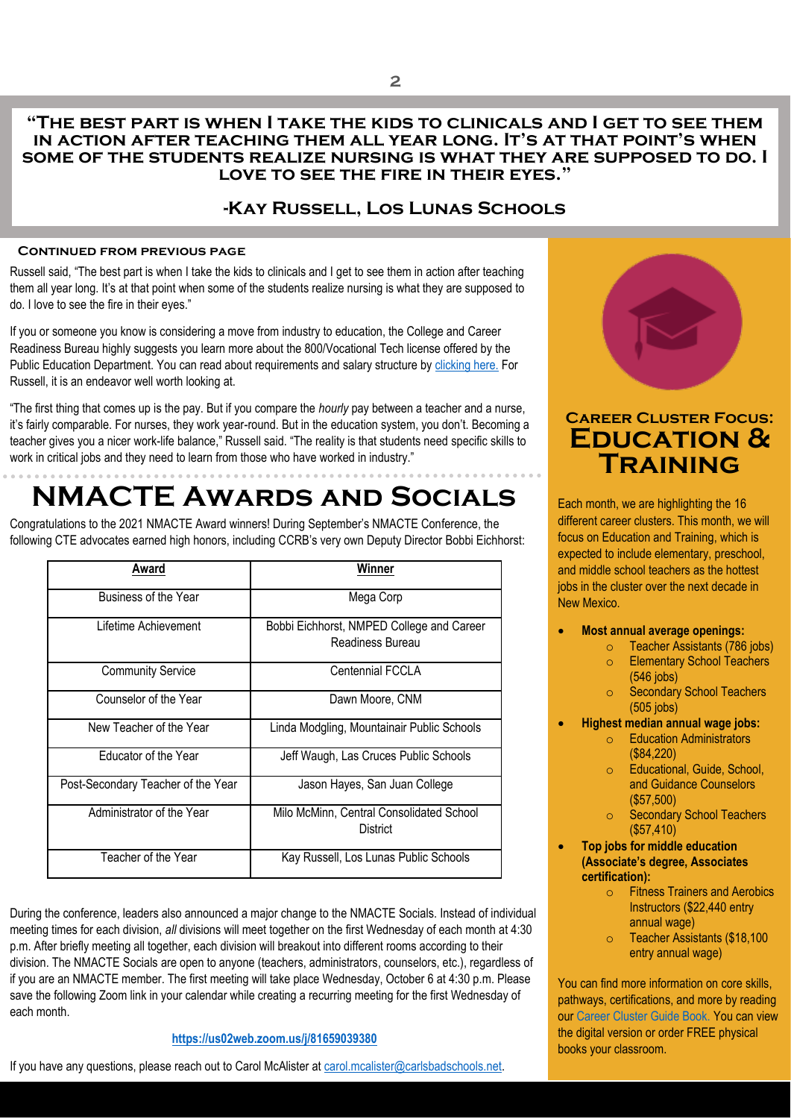#### **"The best part is when I take the kids to clinicals and I get to see them in action after teaching them all year long. It's at that point's when some of the students realize nursing is what they are supposed to do. I love to see the fire in their eyes."**

### **-Kay Russell, Los Lunas Schools**

#### **Continued from previous page**

<span id="page-1-0"></span>Russell said, "The best part is when I take the kids to clinicals and I get to see them in action after teaching them all year long. It's at that point when some of the students realize nursing is what they are supposed to do. I love to see the fire in their eyes."

If you or someone you know is considering a move from industry to education, the College and Career Readiness Bureau highly suggests you learn more about the 800/Vocational Tech license offered by the Public Education Department. You can read about requirements and salary structure b[y clicking here.](https://webnew.ped.state.nm.us/bureaus/licensure/how-to-apply/secondary-vocational-technical/) For Russell, it is an endeavor well worth looking at.

"The first thing that comes up is the pay. But if you compare the *hourly* pay between a teacher and a nurse, it's fairly comparable. For nurses, they work year-round. But in the education system, you don't. Becoming a teacher gives you a nicer work-life balance," Russell said. "The reality is that students need specific skills to work in critical jobs and they need to learn from those who have worked in industry."

## <span id="page-1-1"></span>**NMACTE Awards and Socials**

Congratulations to the 2021 NMACTE Award winners! During September's NMACTE Conference, the following CTE advocates earned high honors, including CCRB's very own Deputy Director Bobbi Eichhorst:

| Award                              | Winner                                                        |
|------------------------------------|---------------------------------------------------------------|
| Business of the Year               | Mega Corp                                                     |
| Lifetime Achievement               | Bobbi Eichhorst, NMPED College and Career<br>Readiness Bureau |
| <b>Community Service</b>           | Centennial FCCLA                                              |
| Counselor of the Year              | Dawn Moore, CNM                                               |
| New Teacher of the Year            | Linda Modgling, Mountainair Public Schools                    |
| Educator of the Year               | Jeff Waugh, Las Cruces Public Schools                         |
| Post-Secondary Teacher of the Year | Jason Hayes, San Juan College                                 |
| Administrator of the Year          | Milo McMinn, Central Consolidated School<br>District          |
| Teacher of the Year                | Kay Russell, Los Lunas Public Schools                         |

During the conference, leaders also announced a major change to the NMACTE Socials. Instead of individual meeting times for each division, *all* divisions will meet together on the first Wednesday of each month at 4:30 p.m. After briefly meeting all together, each division will breakout into different rooms according to their division. The NMACTE Socials are open to anyone (teachers, administrators, counselors, etc.), regardless of if you are an NMACTE member. The first meeting will take place Wednesday, October 6 at 4:30 p.m. Please save the following Zoom link in your calendar while creating a recurring meeting for the first Wednesday of each month.

#### **[https://us02web.zoom.us/j/81659039380](https://gcc02.safelinks.protection.outlook.com/?url=https%3A%2F%2Fus02web.zoom.us%2Fj%2F81659039380&data=04%7C01%7CChristian.Naranjo%40state.nm.us%7C9ce94bdc97024ce10f0708d979ea3262%7C04aa6bf4d436426fbfa404b7a70e60ff%7C0%7C0%7C637674869070468333%7CUnknown%7CTWFpbGZsb3d8eyJWIjoiMC4wLjAwMDAiLCJQIjoiV2luMzIiLCJBTiI6Ik1haWwiLCJXVCI6Mn0%3D%7C1000&sdata=BTCWcxV1%2B4jXqWfK6fHhUeV0bW9pSSBO3MUimmCECog%3D&reserved=0)**

If you have any questions, please reach out to Carol McAlister at [carol.mcalister@carlsbadschools.net.](mailto:carol.mcalister@carlsbadschools.net)



### <span id="page-1-2"></span>**Career Cluster Focus: Education & Training**

Each month, we are highlighting the 16 different career clusters. This month, we will focus on Education and Training, which is expected to include elementary, preschool, and middle school teachers as the hottest jobs in the cluster over the next decade in New Mexico.

- **Most annual average openings:** 
	- o Teacher Assistants (786 jobs) o Elementary School Teachers
		- (546 jobs)
		- o Secondary School Teachers (505 jobs)
- **Highest median annual wage jobs:** 
	- o Education Administrators (\$84,220)
	- o Educational, Guide, School, and Guidance Counselors (\$57,500)
	- o Secondary School Teachers (\$57,410)
	- **Top jobs for middle education (Associate's degree, Associates certification):** 
		- o Fitness Trainers and Aerobics Instructors (\$22,440 entry annual wage)
		- o Teacher Assistants (\$18,100 entry annual wage)

You can find more information on core skills, pathways, certifications, and more by reading our Career Cluster Guide Book. You can view the digital version or order FREE physical books your classroom.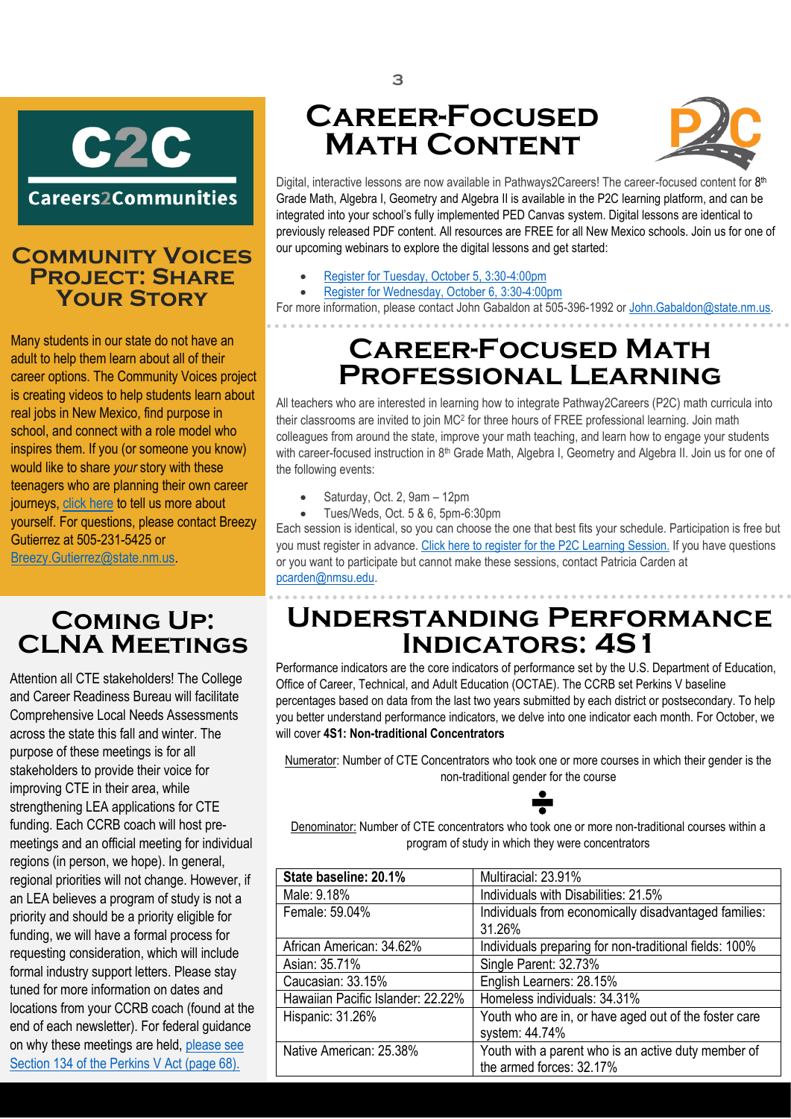

### **Community Voices Project: Share Your Story**

Many students in our state do not have an adult to help them learn about all of their career options. The Community Voices project is creating videos to help students learn about real jobs in New Mexico, find purpose in school, and connect with a role model who inspires them. If you (or someone you know) would like to share *your* story with these teenagers who are planning their own career journeys, [click here](https://www.careers2communities.com/story/) to tell us more about yourself. For questions, please contact Breezy Gutierrez at 505-231-5425 or [Breezy.Gutierrez@state.nm.us.](mailto:Breezy.Gutierrez@state.nm.us)

### <span id="page-2-1"></span>**Coming Up: CLNA Meetings**

Attention all CTE stakeholders! The College and Career Readiness Bureau will facilitate Comprehensive Local Needs Assessments across the state this fall and winter. The purpose of these meetings is for all stakeholders to provide their voice for improving CTE in their area, while strengthening LEA applications for CTE funding. Each CCRB coach will host premeetings and an official meeting for individual regions (in person, we hope). In general, regional priorities will not change. However, if an LEA believes a program of study is not a priority and should be a priority eligible for funding, we will have a formal process for requesting consideration, which will include formal industry support letters. Please stay tuned for more information on dates and locations from your CCRB coach (found at the end of each newsletter). For federal guidance on why these meetings are held, please see [Section 134 of the Perkins V Act \(page 68\).](https://www.govinfo.gov/content/pkg/COMPS-3096/pdf/COMPS-3096.pdf)

## <span id="page-2-0"></span>**Career-Focused Math Content**



HEADER PLACE HERE FOR CHINACE HERE FOR THE AND THE ADEREM THE AND THE ADEREM THE ANGEL THE ANGEL THE ANGEL THE<br>Previously released PDF content. All resources are FREE for all New Mexico schools. Join us for one of Digital, interactive lessons are now available in Pathways2Careers! The career-focused content for 8<sup>th</sup> Grade Math, Algebra I, Geometry and Algebra II is available in the P2C learning platform, and can be integrated into your school's fully implemented PED Canvas system. Digital lessons are identical to our upcoming webinars to explore the digital lessons and get started:

- [Register for Tuesday, October 5, 3:30-4:00pm](https://us02web.zoom.us/j/83078833101)
- [Register for Wednesday, October 6, 3:30-4:00pm](https://us02web.zoom.us/j/89281001995)

For more information, please contact John Gabaldon at 505-396-1992 or [John.Gabaldon@state.nm.us.](mailto:John.Gabaldon@state.nm.us)

## **Career-Focused Math Professional Learning**

All teachers who are interested in learning how to integrate Pathway2Careers (P2C) math curricula into their classrooms are invited to join MC<sup>2</sup> for three hours of FREE professional learning. Join math colleagues from around the state, improve your math teaching, and learn how to engage your students with career-focused instruction in 8<sup>th</sup> Grade Math, Algebra I, Geometry and Algebra II. Join us for one of the following events:

- Saturday, Oct. 2, 9am 12pm
- Tues/Weds, Oct. 5 & 6, 5pm-6:30pm

Each session is identical, so you can choose the one that best fits your schedule. Participation is free but you must register in advance. [Click here to register for the P2C Learning Session.](https://www.careers2communities.com/news-events/events/) If you have questions or you want to participate but cannot make these sessions, contact Patricia Carden at [pcarden@nmsu.edu.](mailto:pcarden@nmsu.edu)

## <span id="page-2-2"></span>**Understanding Performance Indicators: 4S1**

Performance indicators are the core indicators of performance set by the U.S. Department of Education, Office of Career, Technical, and Adult Education (OCTAE). The CCRB set Perkins V baseline percentages based on data from the last two years submitted by each district or postsecondary. To help you better understand performance indicators, we delve into one indicator each month. For October, we will cover **4S1: Non-traditional Concentrators**

Numerator: Number of CTE Concentrators who took one or more courses in which their gender is the non-traditional gender for the course

Denominator: Number of CTE concentrators who took one or more non-traditional courses within a program of study in which they were concentrators

| State baseline: 20.1%             | Multiracial: 23.91%                                    |
|-----------------------------------|--------------------------------------------------------|
| Male: 9.18%                       | Individuals with Disabilities: 21.5%                   |
| Female: 59.04%                    | Individuals from economically disadvantaged families:  |
|                                   | 31.26%                                                 |
| African American: 34.62%          | Individuals preparing for non-traditional fields: 100% |
| Asian: 35.71%                     | Single Parent: 32.73%                                  |
| Caucasian: 33.15%                 | English Learners: 28.15%                               |
| Hawaiian Pacific Islander: 22.22% | Homeless individuals: 34.31%                           |
| Hispanic: 31.26%                  | Youth who are in, or have aged out of the foster care  |
|                                   | system: 44.74%                                         |
| Native American: 25.38%           | Youth with a parent who is an active duty member of    |
|                                   | the armed forces: 32.17%                               |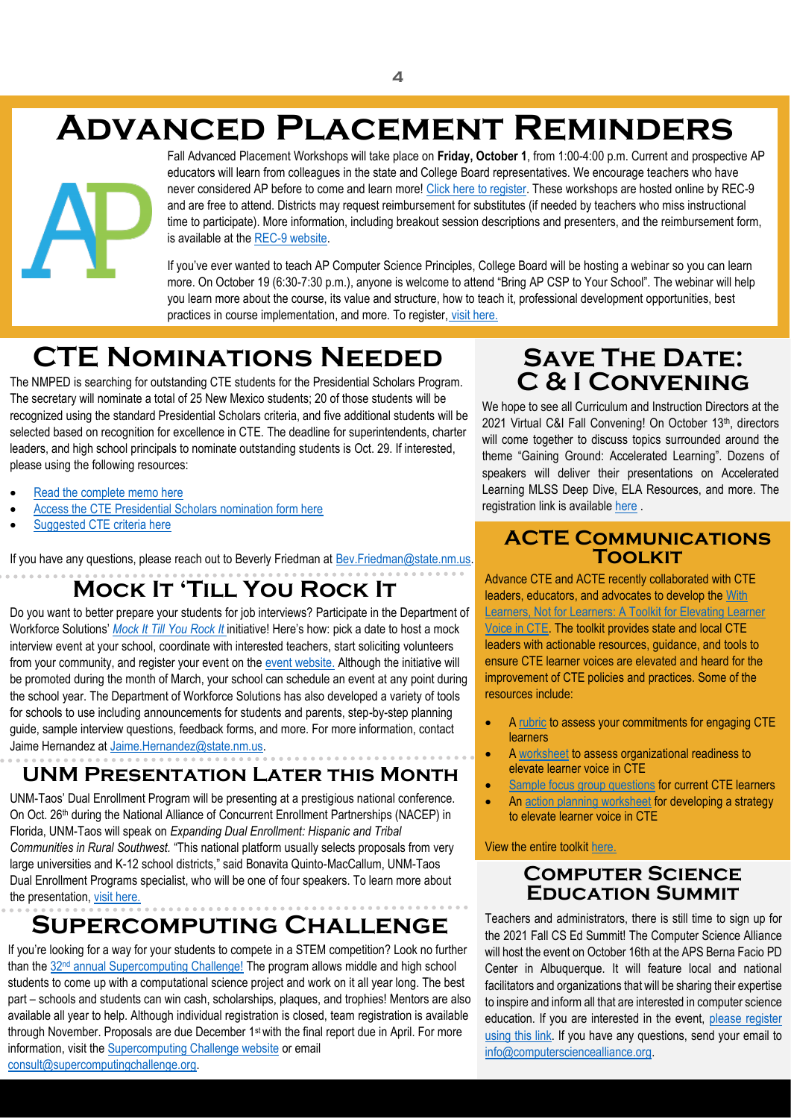## <span id="page-3-0"></span>**Advanced Placement Reminders**

Fall Advanced Placement Workshops will take place on **Friday, October 1**, from 1:00-4:00 p.m. Current and prospective AP educators will learn from colleagues in the state and College Board representatives. We encourage teachers who have never considered AP before to come and learn more! [Click here to register.](https://docs.google.com/forms/d/e/1FAIpQLSeB3H-YiiTN4yia53kcZlqpqDcTkq8t6iuSiES6UxNoroZsVg/viewform) These workshops are hosted online by REC-9 and are free to attend. Districts may request reimbursement for substitutes (if needed by teachers who miss instructional time to participate). More information, including breakout session descriptions and presenters, and the reimbursement form, is available at th[e REC-9 website.](https://sites.google.com/regionix.org/ap-fall-2021/home)

If you've ever wanted to teach AP Computer Science Principles, College Board will be hosting a webinar so you can learn more. On October 19 (6:30-7:30 p.m.), anyone is welcome to attend "Bring AP CSP to Your School". The webinar will help you learn more about the course, its value and structure, how to teach it, professional development opportunities, best practices in course implementation, and more. To register, [visit here.](https://collegeboard.zoom.us/webinar/register/WN_n9v-N_YWS1uLzrt6geauJg?SFMC_cid=EM585543-&rid=47685899)

## <span id="page-3-1"></span>**CTE Nominations Needed**

The NMPED is searching for outstanding CTE students for the Presidential Scholars Program. The secretary will nominate a total of 25 New Mexico students; 20 of those students will be recognized using the standard Presidential Scholars criteria, and five additional students will be selected based on recognition for excellence in CTE. The deadline for superintendents, charter leaders, and high school principals to nominate outstanding students is Oct. 29. If interested, please using the following resources:

- [Read the complete memo here](https://mcusercontent.com/fe07174c30216027e5fab1fde/files/98e7a84f-8107-4b38-9b28-9133f081343e/PresScholarsMemo.jgr.pdf)
- [Access the CTE Presidential Scholars nomination form here](https://mcusercontent.com/fe07174c30216027e5fab1fde/files/16dac3d3-0219-2e5b-ee63-d20f2453cec9/CTE_U_S_Presidential_Scholars_Nomination_Form_2022.pdf)
- [Suggested CTE criteria here](https://mcusercontent.com/fe07174c30216027e5fab1fde/files/d3b205e5-4078-c105-1265-c58c648499db/2022_Suggested_CTE_Criteria.pdf)

If you have any questions, please reach out to Beverly Friedman at Bev. Friedman@state.nm.us.

## **Mock It 'Till You Rock It**

Do you want to better prepare your students for job interviews? Participate in the Department of Workforce Solutions' *[Mock It Till You Rock It](https://www.dws.state.nm.us/Mock-It-Till-You-Rock-It)* initiative! Here's how: pick a date to host a mock interview event at your school, coordinate with interested teachers, start soliciting volunteers from your community, and register your event on the [event website.](https://www.dws.state.nm.us/Register-for-Mock-It-Till-You-Rock-It) Although the initiative will be promoted during the month of March, your school can schedule an event at any point during the school year. The Department of Workforce Solutions has also developed a variety of tools for schools to use including announcements for students and parents, step-by-step planning guide, sample interview questions, feedback forms, and more. For more information, contact Jaime Hernandez at [Jaime.Hernandez@state.nm.us.](mailto:Jaime.Hernandez@state.nm.us)

### **UNM Presentation Later this Month**

UNM-Taos' Dual Enrollment Program will be presenting at a prestigious national conference. On Oct. 26<sup>th</sup> during the National Alliance of Concurrent Enrollment Partnerships (NACEP) in Florida, UNM-Taos will speak on *Expanding Dual Enrollment: Hispanic and Tribal Communities in Rural Southwest.* "This national platform usually selects proposals from very large universities and K-12 school districts," said Bonavita Quinto-MacCallum, UNM-Taos Dual Enrollment Programs specialist, who will be one of four speakers. To learn more about the presentation, [visit here.](http://taos.unm.edu/news/2021/06/unm-taos-dual-enrollment-program-to-present-during-nacep-national-conference.html)

## **Supercomputing Challenge**

If you're looking for a way for your students to compete in a STEM competition? Look no further than the 32<sup>nd</sup> [annual Supercomputing Challenge!](https://supercomputingchallenge.org/21-22/) The program allows middle and high school students to come up with a computational science project and work on it all year long. The best part – schools and students can win cash, scholarships, plaques, and trophies! Mentors are also available all year to help. Although individual registration is closed, team registration is available through November. Proposals are due December 1st with the final report due in April. For more information, visit the [Supercomputing Challenge website](https://supercomputingchallenge.org/21-22/dates.php) or email [consult@supercomputingchallenge.org.](mailto:consult@supercomputingchallenge.org)

### <span id="page-3-2"></span>**SAVE THE DATE: C & I Convening**

We hope to see all Curriculum and Instruction Directors at the 2021 Virtual C&I Fall Convening! On October 13th, directors will come together to discuss topics surrounded around the theme "Gaining Ground: Accelerated Learning". Dozens of speakers will deliver their presentations on Accelerated Learning MLSS Deep Dive, ELA Resources, and more. The registration link is available [here](https://nmped.catalog.instructure.com/browse/curriculum-instruction/courses/fall-2021-curriculum-instruction-director-convening) .

### **ACTE Communications Toolkit**

Advance CTE and ACTE recently collaborated with CTE leaders, educators, and advocates to develop th[e With](https://www.acteonline.org/wp-content/uploads/2021/08/AdvanceCTE-ACTE-LearnerVoice_in_CTE_Toolkit_2021.pdf)  [Learners, Not for Learners: A Toolkit for Elevating Learner](https://www.acteonline.org/wp-content/uploads/2021/08/AdvanceCTE-ACTE-LearnerVoice_in_CTE_Toolkit_2021.pdf)  [Voice in CTE.](https://www.acteonline.org/wp-content/uploads/2021/08/AdvanceCTE-ACTE-LearnerVoice_in_CTE_Toolkit_2021.pdf) The toolkit provides state and local CTE leaders with actionable resources, guidance, and tools to ensure CTE learner voices are elevated and heard for the improvement of CTE policies and practices. Some of the resources include:

- A [rubric](https://cte.careertech.org/sites/default/files/LearnerVoice_Toolkit_Rubric_AssessYourCommitments.pdf) to assess your commitments for engaging CTE learners
- A [worksheet](https://cte.careertech.org/sites/default/files/LearnerVoice_Toolkit_Worksheet_AssessOrgReadiness.pdf) to assess organizational readiness to elevate learner voice in CTE
- [Sample focus group questions](https://cte.careertech.org/sites/default/files/LearnerVoice_Toolkit_SampleQuestions.pdf) for current CTE learners
- A[n action planning worksheet](https://cte.careertech.org/sites/default/files/LearnerVoice_Toolkit_ActionPlan_DevelopStrategytoElevate.pdf) for developing a strategy to elevate learner voice in CTE

#### View the entire toolki[t here.](https://www.acteonline.org/wp-content/uploads/2021/08/AdvanceCTE-ACTE-LearnerVoice_in_CTE_Toolkit_2021.pdf)

### **Computer Science Education Summit**

Teachers and administrators, there is still time to sign up for the 2021 Fall CS Ed Summit! The Computer Science Alliance will host the event on October 16th at the APS Berna Facio PD Center in Albuquerque. It will feature local and national facilitators and organizations that will be sharing their expertise to inspire and inform all that are interested in computer science education. If you are interested in the event, please register [using this link.](https://gcc02.safelinks.protection.outlook.com/?url=https%3A%2F%2Fcomputersciencealliance.us20.list-manage.com%2Ftrack%2Fclick%3Fu%3D1eff2b60d311e246430e6616e%26id%3D72b482df16%26e%3D3e502a8c80&data=04%7C01%7CJaime.Cherry%40state.nm.us%7C4ab5f39fd6e94604b5f808d97ed80206%7C04aa6bf4d436426fbfa404b7a70e60ff%7C0%7C0%7C637680288484052222%7CUnknown%7CTWFpbGZsb3d8eyJWIjoiMC4wLjAwMDAiLCJQIjoiV2luMzIiLCJBTiI6Ik1haWwiLCJXVCI6Mn0%3D%7C1000&sdata=Op60FF2Y0CC%2BkCrdJyoBts7dOE%2FuzfWw5nW60MWNGFY%3D&reserved=0) If you have any questions, send your email to [info@computersciencealliance.org.](mailto:info@computersciencealliance.org)